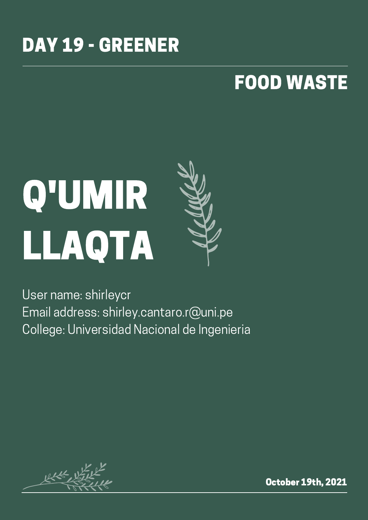### DAY 19 - GREENER

### FOOD WASTE

# Q'UMIR LLAQTA



User name: shirleycr Email address: shirley.cantaro.r@uni.pe College: Universidad Nacional de Ingenieria

 $1646 - 16$ 

October 19th, 2021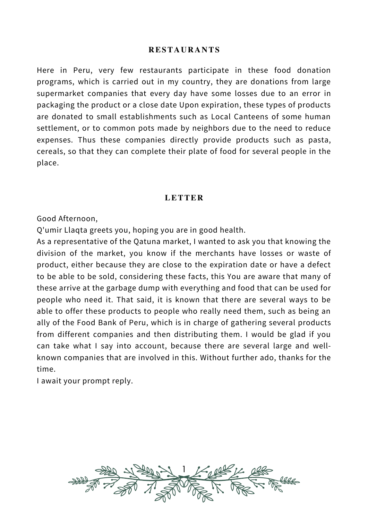#### **RESTAURANTS**

Here in Peru, very few restaurants participate in these food donation programs, which is carried out in my country, they are donations from large supermarket companies that every day have some losses due to an error in packaging the product or a close date Upon expiration, these types of products are donated to small establishments such as Local Canteens of some human settlement, or to common pots made by neighbors due to the need to reduce expenses. Thus these companies directly provide products such as pasta, cereals, so that they can complete their plate of food for several people in the place.

#### **LETTER**

Good Afternoon,

Q'umir Llaqta greets you, hoping you are in good health.

As a representative of the Qatuna market, I wanted to ask you that knowing the division of the market, you know if the merchants have losses or waste of product, either because they are close to the expiration date or have a defect to be able to be sold, considering these facts, this You are aware that many of these arrive at the garbage dump with everything and food that can be used for people who need it. That said, it is known that there are several ways to be able to offer these products to people who really need them, such as being an ally of the Food Bank of Peru, which is in charge of gathering several products from different companies and then distributing them. I would be glad if you can take what I say into account, because there are several large and wellknown companies that are involved in this. Without further ado, thanks for the time.

I await your prompt reply.

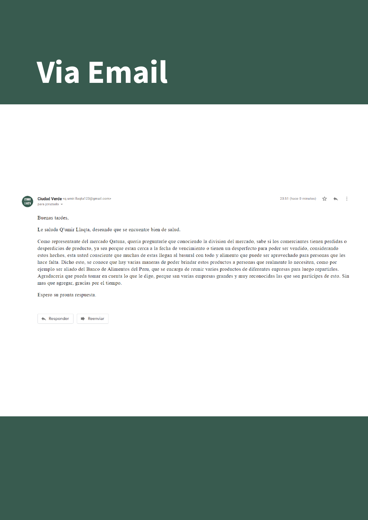## Via Email



Ciudad Verde <q.umir.llaqta123@gmail.com> para jeruzado

Buenas tardes,

Le saluda Q'umir Llaqta, deseando que se encuentre bien de salud.

Como representante del mercado Qatuna, queria preguntarle que conociendo la division del mercado, sabe si los comerciantes tienen perdidas o desperdicios de producto, ya sea porque estan cerca a la fecha de vencimiento o tienen un desperfecto para poder ser vendido, considerando estos hechos, esta usted consciente que muchas de estas llegan al basural con todo y alimento que puede ser aprovechado para personas que les hace falta. Dicho esto, se conoce que hay varias maneras de poder brindar estos productos a personas que realmente lo necesiten, como por ejemplo ser aliado del Banco de Alimentos del Peru, que se encarga de reunir varios productos de diferentes enpresas para luego repartirlos. Agradaceria que pueda tomar en cuenta lo que le digo, porque san varias empresas grandes y muy reconocidas las que son participes de esto. Sin mas que agregar, gracias por el tiempo.

Espero su pronta respuesta.

**Responder**  $\Rightarrow$  Reenviar 23:51 (hace 0 minutos)  $\tau_{\text{AT}}$   $\rightarrow$  $\ddot{\mathbf{r}}$